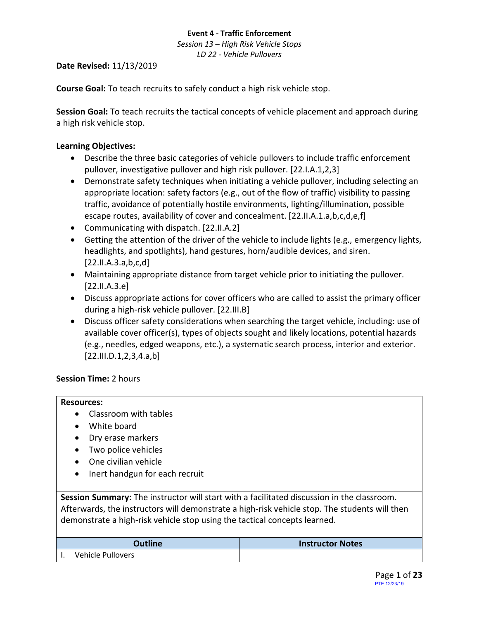*Session 13 – High Risk Vehicle Stops LD 22 - Vehicle Pullovers*

# **Date Revised:** 11/13/2019

**Course Goal:** To teach recruits to safely conduct a high risk vehicle stop.

**Session Goal:** To teach recruits the tactical concepts of vehicle placement and approach during a high risk vehicle stop.

# **Learning Objectives:**

- Describe the three basic categories of vehicle pullovers to include traffic enforcement pullover, investigative pullover and high risk pullover. [22.I.A.1,2,3]
- Demonstrate safety techniques when initiating a vehicle pullover, including selecting an appropriate location: safety factors (e.g., out of the flow of traffic) visibility to passing traffic, avoidance of potentially hostile environments, lighting/illumination, possible escape routes, availability of cover and concealment. [22.II.A.1.a,b,c,d,e,f]
- Communicating with dispatch. [22.II.A.2]
- Getting the attention of the driver of the vehicle to include lights (e.g., emergency lights, headlights, and spotlights), hand gestures, horn/audible devices, and siren. [22.II.A.3.a,b,c,d]
- Maintaining appropriate distance from target vehicle prior to initiating the pullover. [22.II.A.3.e]
- Discuss appropriate actions for cover officers who are called to assist the primary officer during a high-risk vehicle pullover. [22.III.B]
- Discuss officer safety considerations when searching the target vehicle, including: use of available cover officer(s), types of objects sought and likely locations, potential hazards (e.g., needles, edged weapons, etc.), a systematic search process, interior and exterior.  $[22.III.D.1, 2, 3, 4.a,b]$

# **Session Time:** 2 hours

# **Resources:**

- Classroom with tables
- White board
- Dry erase markers
- Two police vehicles
- One civilian vehicle
- Inert handgun for each recruit

**Session Summary:** The instructor will start with a facilitated discussion in the classroom. Afterwards, the instructors will demonstrate a high-risk vehicle stop. The students will then demonstrate a high-risk vehicle stop using the tactical concepts learned.

| <b>Outline</b>    | <b>Instructor Notes</b> |
|-------------------|-------------------------|
| Vehicle Pullovers |                         |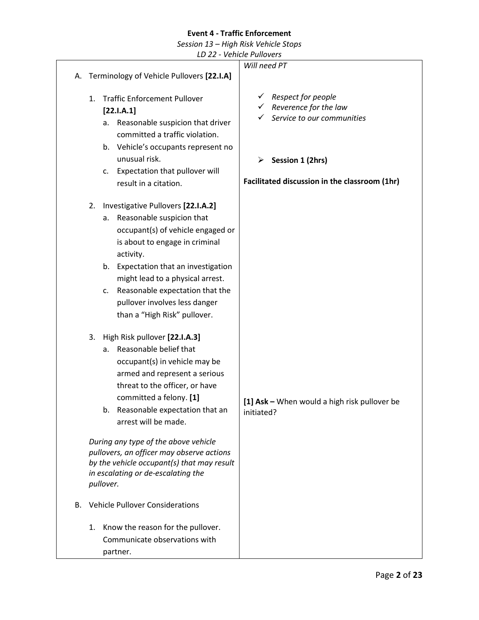*Session 13 – High Risk Vehicle Stops*

|    |                                                                                                                                                                                                                                                                                                                                                         | LD 22 - Vehicle Pullovers                                                                                                      |
|----|---------------------------------------------------------------------------------------------------------------------------------------------------------------------------------------------------------------------------------------------------------------------------------------------------------------------------------------------------------|--------------------------------------------------------------------------------------------------------------------------------|
|    |                                                                                                                                                                                                                                                                                                                                                         | Will need PT                                                                                                                   |
|    | A. Terminology of Vehicle Pullovers [22.I.A]                                                                                                                                                                                                                                                                                                            |                                                                                                                                |
|    | <b>Traffic Enforcement Pullover</b><br>$\mathbf{1}$ .<br>[22.1.A.1]<br>Reasonable suspicion that driver<br>а.<br>committed a traffic violation.<br>b. Vehicle's occupants represent no<br>unusual risk.                                                                                                                                                 | Respect for people<br>$\checkmark$<br>Reverence for the law<br>Service to our communities<br>$\triangleright$ Session 1 (2hrs) |
|    | Expectation that pullover will<br>c.                                                                                                                                                                                                                                                                                                                    |                                                                                                                                |
|    | result in a citation.                                                                                                                                                                                                                                                                                                                                   | Facilitated discussion in the classroom (1hr)                                                                                  |
|    | Investigative Pullovers [22.I.A.2]<br>2.<br>Reasonable suspicion that<br>а.<br>occupant(s) of vehicle engaged or<br>is about to engage in criminal<br>activity.<br>b. Expectation that an investigation<br>might lead to a physical arrest.<br>Reasonable expectation that the<br>c.<br>pullover involves less danger<br>than a "High Risk" pullover.   |                                                                                                                                |
|    | High Risk pullover [22.I.A.3]<br>3.<br>Reasonable belief that<br>a.<br>occupant(s) in vehicle may be<br>armed and represent a serious<br>threat to the officer, or have<br>committed a felony. [1]<br>Reasonable expectation that an<br>b.<br>arrest will be made.<br>During any type of the above vehicle<br>pullovers, an officer may observe actions | [1] Ask - When would a high risk pullover be<br>initiated?                                                                     |
|    | by the vehicle occupant(s) that may result<br>in escalating or de-escalating the<br>pullover.                                                                                                                                                                                                                                                           |                                                                                                                                |
| В. | <b>Vehicle Pullover Considerations</b>                                                                                                                                                                                                                                                                                                                  |                                                                                                                                |
|    | Know the reason for the pullover.<br>1.<br>Communicate observations with<br>partner.                                                                                                                                                                                                                                                                    |                                                                                                                                |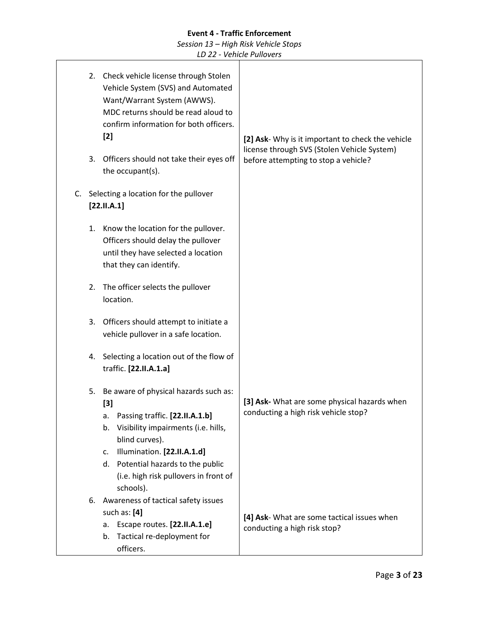|    | Check vehicle license through Stolen<br>2.<br>Vehicle System (SVS) and Automated<br>Want/Warrant System (AWWS).<br>MDC returns should be read aloud to<br>confirm information for both officers.<br>$[2]$ |                                                                                                                                                                                                                                                                                      | [2] Ask- Why is it important to check the vehicle<br>license through SVS (Stolen Vehicle System) |
|----|-----------------------------------------------------------------------------------------------------------------------------------------------------------------------------------------------------------|--------------------------------------------------------------------------------------------------------------------------------------------------------------------------------------------------------------------------------------------------------------------------------------|--------------------------------------------------------------------------------------------------|
|    | 3.                                                                                                                                                                                                        | Officers should not take their eyes off<br>the occupant(s).                                                                                                                                                                                                                          | before attempting to stop a vehicle?                                                             |
| C. |                                                                                                                                                                                                           | Selecting a location for the pullover<br>[22.11.A.1]                                                                                                                                                                                                                                 |                                                                                                  |
|    | 1.                                                                                                                                                                                                        | Know the location for the pullover.<br>Officers should delay the pullover<br>until they have selected a location<br>that they can identify.                                                                                                                                          |                                                                                                  |
|    | The officer selects the pullover<br>2.<br>location.<br>Officers should attempt to initiate a<br>3.<br>vehicle pullover in a safe location.                                                                |                                                                                                                                                                                                                                                                                      |                                                                                                  |
|    |                                                                                                                                                                                                           |                                                                                                                                                                                                                                                                                      |                                                                                                  |
|    | 4.                                                                                                                                                                                                        | Selecting a location out of the flow of<br>traffic. [22.II.A.1.a]                                                                                                                                                                                                                    |                                                                                                  |
|    | 5.                                                                                                                                                                                                        | Be aware of physical hazards such as:<br>[3]<br>Passing traffic. [22.II.A.1.b]<br>a.<br>Visibility impairments (i.e. hills,<br>b.<br>blind curves).<br>Illumination. [22.II.A.1.d]<br>c.<br>d. Potential hazards to the public<br>(i.e. high risk pullovers in front of<br>schools). | [3] Ask- What are some physical hazards when<br>conducting a high risk vehicle stop?             |
|    | 6.                                                                                                                                                                                                        | Awareness of tactical safety issues<br>such as: $[4]$<br>Escape routes. [22.II.A.1.e]<br>a.<br>Tactical re-deployment for<br>b.<br>officers.                                                                                                                                         | [4] Ask- What are some tactical issues when<br>conducting a high risk stop?                      |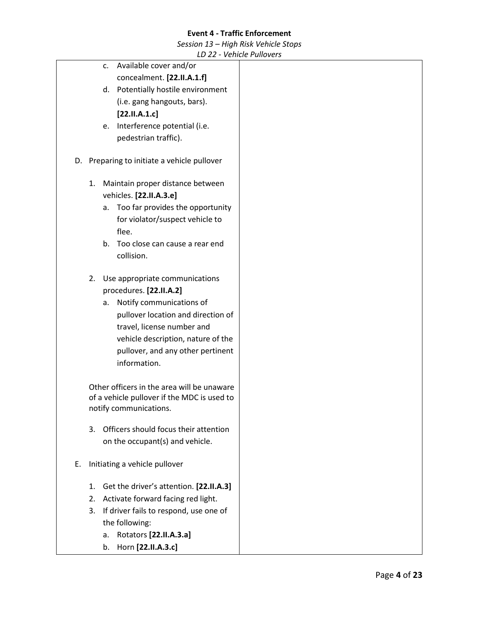*Session 13 – High Risk Vehicle Stops*

|    |    |         | LD 22 - Venicle Pullovers                   |
|----|----|---------|---------------------------------------------|
|    |    | c.      | Available cover and/or                      |
|    |    |         | concealment. [22.II.A.1.f]                  |
|    |    |         | d. Potentially hostile environment          |
|    |    |         | (i.e. gang hangouts, bars).                 |
|    |    |         | [22.11.A.1.c]                               |
|    |    | e.      | Interference potential (i.e.                |
|    |    |         | pedestrian traffic).                        |
|    |    |         |                                             |
|    |    |         | D. Preparing to initiate a vehicle pullover |
|    |    |         |                                             |
|    | 1. |         | Maintain proper distance between            |
|    |    |         | vehicles. [22.II.A.3.e]                     |
|    |    | а.      | Too far provides the opportunity            |
|    |    |         | for violator/suspect vehicle to             |
|    |    |         | flee.                                       |
|    |    | $b_{-}$ | Too close can cause a rear end              |
|    |    |         | collision.                                  |
|    |    |         |                                             |
|    | 2. |         | Use appropriate communications              |
|    |    |         | procedures. [22.II.A.2]                     |
|    |    | а.      | Notify communications of                    |
|    |    |         | pullover location and direction of          |
|    |    |         | travel, license number and                  |
|    |    |         | vehicle description, nature of the          |
|    |    |         | pullover, and any other pertinent           |
|    |    |         | information.                                |
|    |    |         |                                             |
|    |    |         | Other officers in the area will be unaware  |
|    |    |         | of a vehicle pullover if the MDC is used to |
|    |    |         | notify communications.                      |
|    | 3. |         | Officers should focus their attention       |
|    |    |         | on the occupant(s) and vehicle.             |
|    |    |         |                                             |
| Е. |    |         | Initiating a vehicle pullover               |
|    |    |         |                                             |
|    | 1. |         | Get the driver's attention. [22.II.A.3]     |
|    | 2. |         | Activate forward facing red light.          |
|    | 3. |         | If driver fails to respond, use one of      |
|    |    |         | the following:                              |
|    |    | a.      | Rotators [22.II.A.3.a]                      |
|    |    | b.      | Horn [22.II.A.3.c]                          |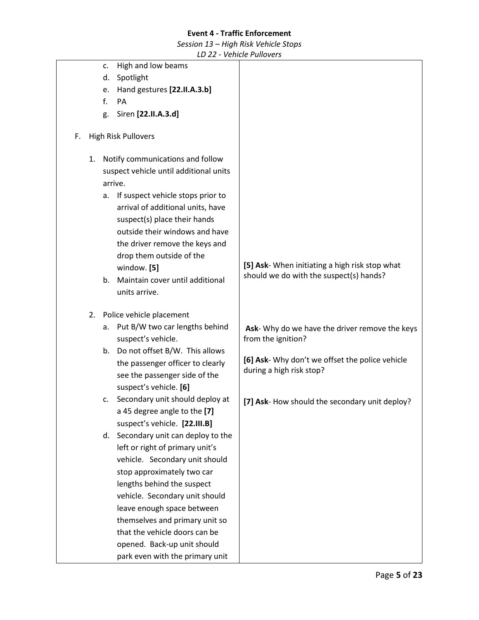*Session 13 – High Risk Vehicle Stops*

|    |    |    |                                        | <b>VUINCH UNOVERS</b>                           |
|----|----|----|----------------------------------------|-------------------------------------------------|
|    |    | c. | High and low beams                     |                                                 |
|    |    | d. | Spotlight                              |                                                 |
|    |    | e. | Hand gestures [22.II.A.3.b]            |                                                 |
|    |    | f. | PA                                     |                                                 |
|    |    | g. | Siren [22.II.A.3.d]                    |                                                 |
|    |    |    |                                        |                                                 |
| F. |    |    | High Risk Pullovers                    |                                                 |
|    | 1. |    | Notify communications and follow       |                                                 |
|    |    |    | suspect vehicle until additional units |                                                 |
|    |    |    | arrive.                                |                                                 |
|    |    | а. | If suspect vehicle stops prior to      |                                                 |
|    |    |    | arrival of additional units, have      |                                                 |
|    |    |    | suspect(s) place their hands           |                                                 |
|    |    |    | outside their windows and have         |                                                 |
|    |    |    | the driver remove the keys and         |                                                 |
|    |    |    | drop them outside of the               |                                                 |
|    |    |    | window. [5]                            | [5] Ask- When initiating a high risk stop what  |
|    |    | b. | Maintain cover until additional        | should we do with the suspect(s) hands?         |
|    |    |    | units arrive.                          |                                                 |
|    |    |    |                                        |                                                 |
|    | 2. |    | Police vehicle placement               |                                                 |
|    |    | a. | Put B/W two car lengths behind         | Ask- Why do we have the driver remove the keys  |
|    |    |    | suspect's vehicle.                     | from the ignition?                              |
|    |    |    | b. Do not offset B/W. This allows      |                                                 |
|    |    |    | the passenger officer to clearly       | [6] Ask- Why don't we offset the police vehicle |
|    |    |    | see the passenger side of the          | during a high risk stop?                        |
|    |    |    | suspect's vehicle. [6]                 |                                                 |
|    |    |    | c. Secondary unit should deploy at     | [7] Ask- How should the secondary unit deploy?  |
|    |    |    | a 45 degree angle to the [7]           |                                                 |
|    |    |    | suspect's vehicle. [22.III.B]          |                                                 |
|    |    |    | d. Secondary unit can deploy to the    |                                                 |
|    |    |    | left or right of primary unit's        |                                                 |
|    |    |    | vehicle. Secondary unit should         |                                                 |
|    |    |    | stop approximately two car             |                                                 |
|    |    |    | lengths behind the suspect             |                                                 |
|    |    |    | vehicle. Secondary unit should         |                                                 |
|    |    |    | leave enough space between             |                                                 |
|    |    |    | themselves and primary unit so         |                                                 |
|    |    |    | that the vehicle doors can be          |                                                 |
|    |    |    |                                        |                                                 |
|    |    |    | opened. Back-up unit should            |                                                 |
|    |    |    | park even with the primary unit        |                                                 |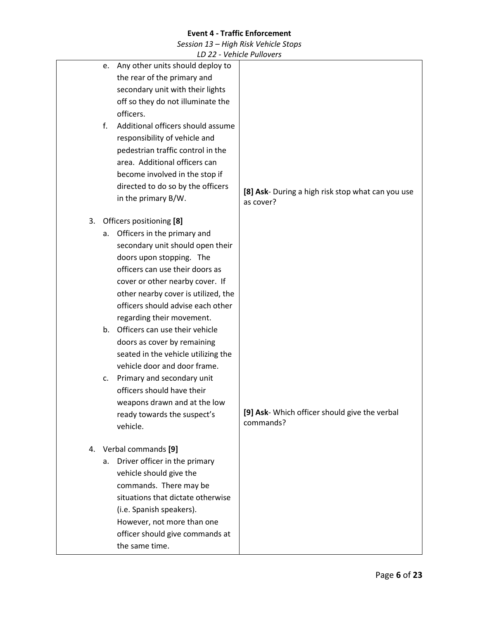*Session 13 – High Risk Vehicle Stops*

|    | LD 22 - Venicie Pullovers               |                                                   |
|----|-----------------------------------------|---------------------------------------------------|
|    | Any other units should deploy to<br>e.  |                                                   |
|    | the rear of the primary and             |                                                   |
|    | secondary unit with their lights        |                                                   |
|    | off so they do not illuminate the       |                                                   |
|    | officers.                               |                                                   |
|    | f.<br>Additional officers should assume |                                                   |
|    | responsibility of vehicle and           |                                                   |
|    | pedestrian traffic control in the       |                                                   |
|    | area. Additional officers can           |                                                   |
|    | become involved in the stop if          |                                                   |
|    | directed to do so by the officers       | [8] Ask- During a high risk stop what can you use |
|    | in the primary B/W.                     | as cover?                                         |
| 3. | Officers positioning [8]                |                                                   |
|    | Officers in the primary and<br>а.       |                                                   |
|    | secondary unit should open their        |                                                   |
|    | doors upon stopping. The                |                                                   |
|    | officers can use their doors as         |                                                   |
|    | cover or other nearby cover. If         |                                                   |
|    | other nearby cover is utilized, the     |                                                   |
|    | officers should advise each other       |                                                   |
|    | regarding their movement.               |                                                   |
|    | Officers can use their vehicle<br>b.    |                                                   |
|    | doors as cover by remaining             |                                                   |
|    | seated in the vehicle utilizing the     |                                                   |
|    | vehicle door and door frame.            |                                                   |
|    | Primary and secondary unit<br>c.        |                                                   |
|    | officers should have their              |                                                   |
|    | weapons drawn and at the low            |                                                   |
|    | ready towards the suspect's             | [9] Ask- Which officer should give the verbal     |
|    | vehicle.                                | commands?                                         |
|    | 4. Verbal commands [9]                  |                                                   |
|    | Driver officer in the primary<br>а.     |                                                   |
|    | vehicle should give the                 |                                                   |
|    | commands. There may be                  |                                                   |
|    | situations that dictate otherwise       |                                                   |
|    | (i.e. Spanish speakers).                |                                                   |
|    | However, not more than one              |                                                   |
|    | officer should give commands at         |                                                   |
|    | the same time.                          |                                                   |
|    |                                         |                                                   |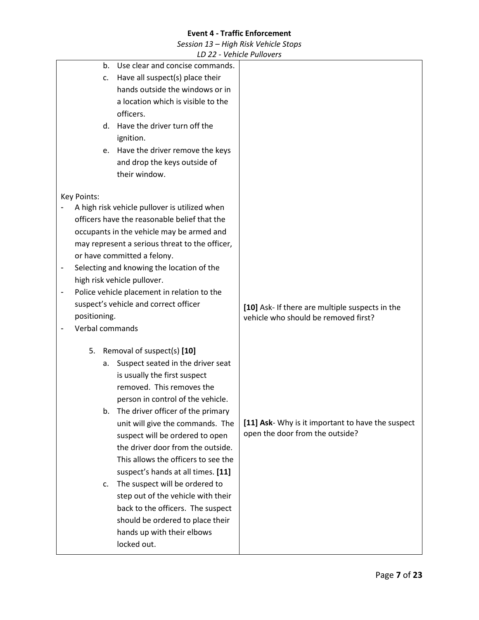*Session 13 – High Risk Vehicle Stops*

|                          |             |              |    | LD 22 - VEIIILIE FUIIUVEIS                                                    |                                                                                         |
|--------------------------|-------------|--------------|----|-------------------------------------------------------------------------------|-----------------------------------------------------------------------------------------|
|                          |             |              | b. | Use clear and concise commands.                                               |                                                                                         |
|                          |             |              | C. | Have all suspect(s) place their                                               |                                                                                         |
|                          |             |              |    | hands outside the windows or in                                               |                                                                                         |
|                          |             |              |    | a location which is visible to the                                            |                                                                                         |
|                          |             |              |    | officers.                                                                     |                                                                                         |
|                          |             |              |    | d. Have the driver turn off the                                               |                                                                                         |
|                          |             |              |    | ignition.                                                                     |                                                                                         |
|                          |             |              | e. | Have the driver remove the keys                                               |                                                                                         |
|                          |             |              |    | and drop the keys outside of                                                  |                                                                                         |
|                          |             |              |    | their window.                                                                 |                                                                                         |
|                          |             |              |    |                                                                               |                                                                                         |
|                          | Key Points: |              |    | A high risk vehicle pullover is utilized when                                 |                                                                                         |
|                          |             |              |    | officers have the reasonable belief that the                                  |                                                                                         |
|                          |             |              |    |                                                                               |                                                                                         |
|                          |             |              |    | occupants in the vehicle may be armed and                                     |                                                                                         |
|                          |             |              |    | may represent a serious threat to the officer,<br>or have committed a felony. |                                                                                         |
| -                        |             |              |    | Selecting and knowing the location of the                                     |                                                                                         |
|                          |             |              |    | high risk vehicle pullover.                                                   |                                                                                         |
| $\overline{\phantom{0}}$ |             |              |    | Police vehicle placement in relation to the                                   |                                                                                         |
|                          |             |              |    | suspect's vehicle and correct officer                                         |                                                                                         |
|                          |             | positioning. |    |                                                                               | [10] Ask- If there are multiple suspects in the<br>vehicle who should be removed first? |
|                          |             |              |    | Verbal commands                                                               |                                                                                         |
|                          |             |              |    |                                                                               |                                                                                         |
|                          |             | 5.           |    | Removal of suspect(s) [10]                                                    |                                                                                         |
|                          |             |              | a. | Suspect seated in the driver seat                                             |                                                                                         |
|                          |             |              |    | is usually the first suspect                                                  |                                                                                         |
|                          |             |              |    | removed. This removes the                                                     |                                                                                         |
|                          |             |              |    | person in control of the vehicle.                                             |                                                                                         |
|                          |             |              | b. | The driver officer of the primary                                             |                                                                                         |
|                          |             |              |    | unit will give the commands. The                                              | [11] Ask- Why is it important to have the suspect                                       |
|                          |             |              |    | suspect will be ordered to open                                               | open the door from the outside?                                                         |
|                          |             |              |    | the driver door from the outside.                                             |                                                                                         |
|                          |             |              |    | This allows the officers to see the                                           |                                                                                         |
|                          |             |              |    | suspect's hands at all times. [11]                                            |                                                                                         |
|                          |             |              | c. | The suspect will be ordered to                                                |                                                                                         |
|                          |             |              |    | step out of the vehicle with their                                            |                                                                                         |
|                          |             |              |    | back to the officers. The suspect                                             |                                                                                         |
|                          |             |              |    | should be ordered to place their                                              |                                                                                         |
|                          |             |              |    | hands up with their elbows                                                    |                                                                                         |
|                          |             |              |    | locked out.                                                                   |                                                                                         |
|                          |             |              |    |                                                                               |                                                                                         |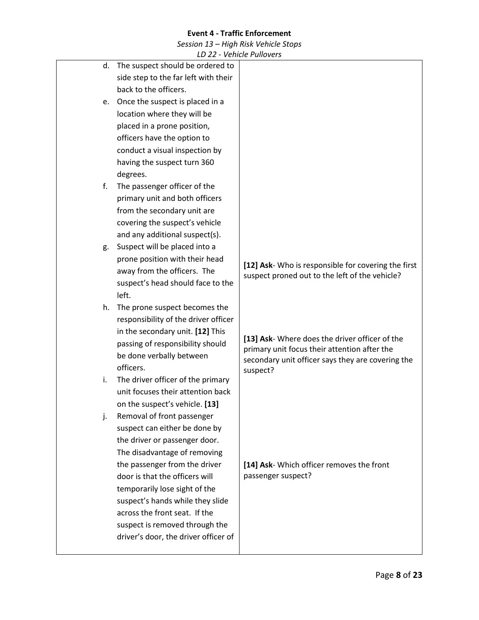*Session 13 – High Risk Vehicle Stops*

|    | LD 22 - VEIIILIE FUIIUVEIS           |                                                                                                |
|----|--------------------------------------|------------------------------------------------------------------------------------------------|
| d. | The suspect should be ordered to     |                                                                                                |
|    | side step to the far left with their |                                                                                                |
|    | back to the officers.                |                                                                                                |
| e. | Once the suspect is placed in a      |                                                                                                |
|    | location where they will be          |                                                                                                |
|    | placed in a prone position,          |                                                                                                |
|    | officers have the option to          |                                                                                                |
|    | conduct a visual inspection by       |                                                                                                |
|    | having the suspect turn 360          |                                                                                                |
|    | degrees.                             |                                                                                                |
| f. | The passenger officer of the         |                                                                                                |
|    | primary unit and both officers       |                                                                                                |
|    | from the secondary unit are          |                                                                                                |
|    | covering the suspect's vehicle       |                                                                                                |
|    | and any additional suspect(s).       |                                                                                                |
| g. | Suspect will be placed into a        |                                                                                                |
|    | prone position with their head       | [12] Ask- Who is responsible for covering the first                                            |
|    | away from the officers. The          | suspect proned out to the left of the vehicle?                                                 |
|    | suspect's head should face to the    |                                                                                                |
|    | left.                                |                                                                                                |
| h. | The prone suspect becomes the        |                                                                                                |
|    | responsibility of the driver officer |                                                                                                |
|    | in the secondary unit. [12] This     |                                                                                                |
|    | passing of responsibility should     | [13] Ask- Where does the driver officer of the<br>primary unit focus their attention after the |
|    | be done verbally between             | secondary unit officer says they are covering the                                              |
|    | officers.                            | suspect?                                                                                       |
| i. | The driver officer of the primary    |                                                                                                |
|    | unit focuses their attention back    |                                                                                                |
|    | on the suspect's vehicle. [13]       |                                                                                                |
| j. | Removal of front passenger           |                                                                                                |
|    | suspect can either be done by        |                                                                                                |
|    | the driver or passenger door.        |                                                                                                |
|    | The disadvantage of removing         |                                                                                                |
|    | the passenger from the driver        | [14] Ask- Which officer removes the front                                                      |
|    | door is that the officers will       | passenger suspect?                                                                             |
|    | temporarily lose sight of the        |                                                                                                |
|    | suspect's hands while they slide     |                                                                                                |
|    | across the front seat. If the        |                                                                                                |
|    | suspect is removed through the       |                                                                                                |
|    | driver's door, the driver officer of |                                                                                                |
|    |                                      |                                                                                                |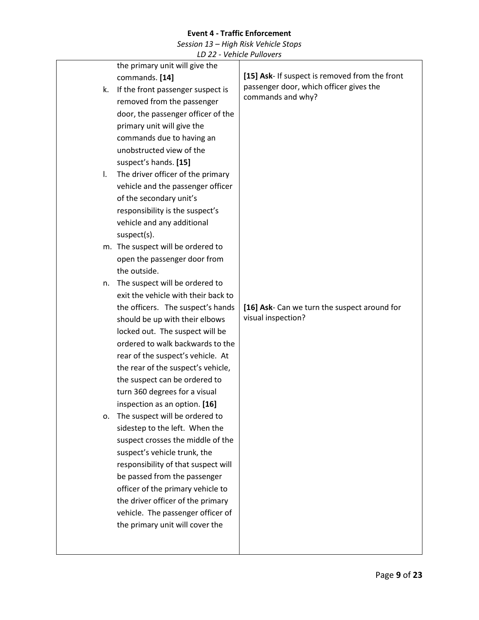*Session 13 – High Risk Vehicle Stops*

|              | the primary unit will give the      |                                                |
|--------------|-------------------------------------|------------------------------------------------|
|              | commands. [14]                      | [15] Ask- If suspect is removed from the front |
| k.           | If the front passenger suspect is   | passenger door, which officer gives the        |
|              | removed from the passenger          | commands and why?                              |
|              | door, the passenger officer of the  |                                                |
|              | primary unit will give the          |                                                |
|              | commands due to having an           |                                                |
|              | unobstructed view of the            |                                                |
|              | suspect's hands. [15]               |                                                |
| $\mathbf{L}$ | The driver officer of the primary   |                                                |
|              | vehicle and the passenger officer   |                                                |
|              | of the secondary unit's             |                                                |
|              | responsibility is the suspect's     |                                                |
|              | vehicle and any additional          |                                                |
|              | suspect(s).                         |                                                |
|              | m. The suspect will be ordered to   |                                                |
|              | open the passenger door from        |                                                |
|              | the outside.                        |                                                |
| n.           | The suspect will be ordered to      |                                                |
|              | exit the vehicle with their back to |                                                |
|              | the officers. The suspect's hands   | [16] Ask- Can we turn the suspect around for   |
|              |                                     |                                                |
|              | should be up with their elbows      | visual inspection?                             |
|              | locked out. The suspect will be     |                                                |
|              | ordered to walk backwards to the    |                                                |
|              | rear of the suspect's vehicle. At   |                                                |
|              | the rear of the suspect's vehicle,  |                                                |
|              | the suspect can be ordered to       |                                                |
|              | turn 360 degrees for a visual       |                                                |
|              | inspection as an option. [16]       |                                                |
| ο.           | The suspect will be ordered to      |                                                |
|              | sidestep to the left. When the      |                                                |
|              | suspect crosses the middle of the   |                                                |
|              | suspect's vehicle trunk, the        |                                                |
|              | responsibility of that suspect will |                                                |
|              | be passed from the passenger        |                                                |
|              | officer of the primary vehicle to   |                                                |
|              | the driver officer of the primary   |                                                |
|              | vehicle. The passenger officer of   |                                                |
|              | the primary unit will cover the     |                                                |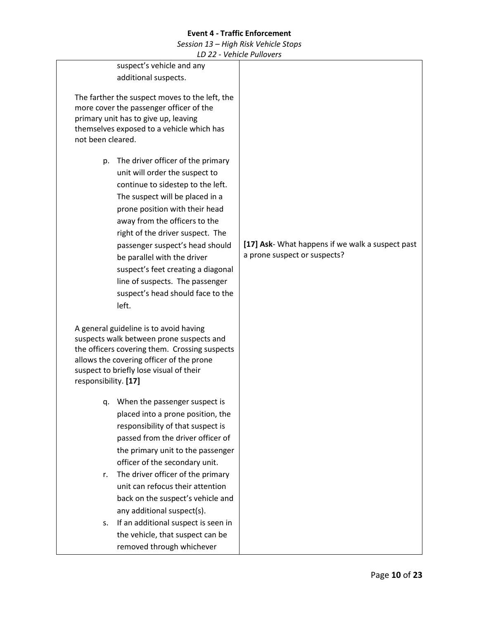*Session 13 – High Risk Vehicle Stops*

| LD 22 - Venicle Pullovers                                                                                                                                                                                                                                                                                                                                                                                                                         |                                                                                  |
|---------------------------------------------------------------------------------------------------------------------------------------------------------------------------------------------------------------------------------------------------------------------------------------------------------------------------------------------------------------------------------------------------------------------------------------------------|----------------------------------------------------------------------------------|
| suspect's vehicle and any                                                                                                                                                                                                                                                                                                                                                                                                                         |                                                                                  |
| additional suspects.                                                                                                                                                                                                                                                                                                                                                                                                                              |                                                                                  |
| The farther the suspect moves to the left, the<br>more cover the passenger officer of the<br>primary unit has to give up, leaving<br>themselves exposed to a vehicle which has<br>not been cleared.                                                                                                                                                                                                                                               |                                                                                  |
| The driver officer of the primary<br>p.<br>unit will order the suspect to<br>continue to sidestep to the left.<br>The suspect will be placed in a<br>prone position with their head<br>away from the officers to the<br>right of the driver suspect. The<br>passenger suspect's head should<br>be parallel with the driver<br>suspect's feet creating a diagonal<br>line of suspects. The passenger<br>suspect's head should face to the<br>left. | [17] Ask- What happens if we walk a suspect past<br>a prone suspect or suspects? |
| A general guideline is to avoid having<br>suspects walk between prone suspects and<br>the officers covering them. Crossing suspects<br>allows the covering officer of the prone<br>suspect to briefly lose visual of their<br>responsibility. [17]                                                                                                                                                                                                |                                                                                  |
| When the passenger suspect is<br>q.<br>placed into a prone position, the<br>responsibility of that suspect is<br>passed from the driver officer of<br>the primary unit to the passenger                                                                                                                                                                                                                                                           |                                                                                  |
| officer of the secondary unit.<br>The driver officer of the primary<br>r.<br>unit can refocus their attention<br>back on the suspect's vehicle and                                                                                                                                                                                                                                                                                                |                                                                                  |
| any additional suspect(s).<br>If an additional suspect is seen in<br>s.<br>the vehicle, that suspect can be<br>removed through whichever                                                                                                                                                                                                                                                                                                          |                                                                                  |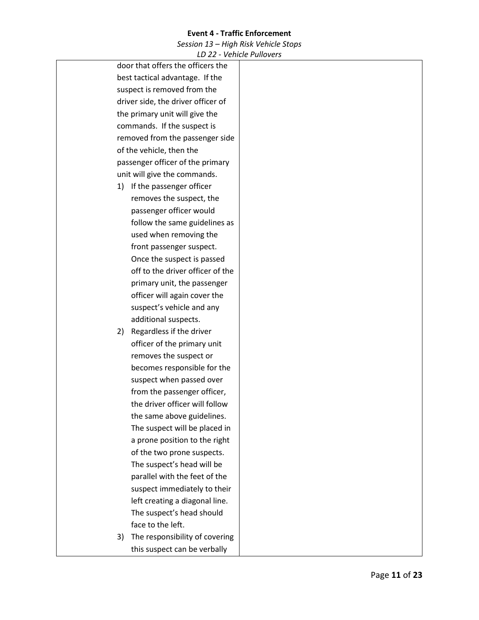*Session 13 – High Risk Vehicle Stops*

|    | LD 22 - VEIIILIE FUIIUVEIS         |  |
|----|------------------------------------|--|
|    | door that offers the officers the  |  |
|    | best tactical advantage. If the    |  |
|    | suspect is removed from the        |  |
|    | driver side, the driver officer of |  |
|    | the primary unit will give the     |  |
|    | commands. If the suspect is        |  |
|    | removed from the passenger side    |  |
|    | of the vehicle, then the           |  |
|    | passenger officer of the primary   |  |
|    | unit will give the commands.       |  |
|    | 1) If the passenger officer        |  |
|    | removes the suspect, the           |  |
|    | passenger officer would            |  |
|    | follow the same guidelines as      |  |
|    | used when removing the             |  |
|    | front passenger suspect.           |  |
|    | Once the suspect is passed         |  |
|    | off to the driver officer of the   |  |
|    | primary unit, the passenger        |  |
|    | officer will again cover the       |  |
|    | suspect's vehicle and any          |  |
|    | additional suspects.               |  |
| 2) | Regardless if the driver           |  |
|    | officer of the primary unit        |  |
|    | removes the suspect or             |  |
|    | becomes responsible for the        |  |
|    | suspect when passed over           |  |
|    | from the passenger officer,        |  |
|    | the driver officer will follow     |  |
|    | the same above guidelines.         |  |
|    | The suspect will be placed in      |  |
|    | a prone position to the right      |  |
|    | of the two prone suspects.         |  |
|    | The suspect's head will be         |  |
|    | parallel with the feet of the      |  |
|    | suspect immediately to their       |  |
|    | left creating a diagonal line.     |  |
|    | The suspect's head should          |  |
|    | face to the left.                  |  |
| 3) | The responsibility of covering     |  |
|    | this suspect can be verbally       |  |
|    |                                    |  |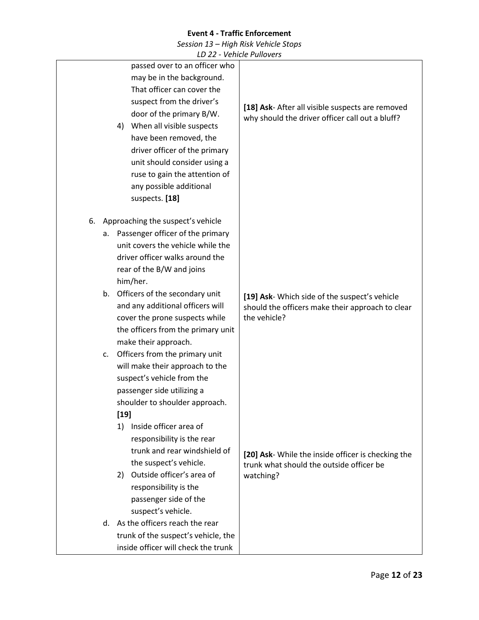*Session 13 – High Risk Vehicle Stops*

|    |    |                                                                                                                                                                                                                                                                                                                                                               | VUIIIUL I UIIUVUJ                                                                                                 |
|----|----|---------------------------------------------------------------------------------------------------------------------------------------------------------------------------------------------------------------------------------------------------------------------------------------------------------------------------------------------------------------|-------------------------------------------------------------------------------------------------------------------|
|    |    | passed over to an officer who<br>may be in the background.<br>That officer can cover the<br>suspect from the driver's<br>door of the primary B/W.<br>When all visible suspects<br>4)<br>have been removed, the<br>driver officer of the primary<br>unit should consider using a<br>ruse to gain the attention of<br>any possible additional<br>suspects. [18] | [18] Ask- After all visible suspects are removed<br>why should the driver officer call out a bluff?               |
|    |    |                                                                                                                                                                                                                                                                                                                                                               |                                                                                                                   |
| 6. |    | Approaching the suspect's vehicle                                                                                                                                                                                                                                                                                                                             |                                                                                                                   |
|    |    | a. Passenger officer of the primary<br>unit covers the vehicle while the<br>driver officer walks around the<br>rear of the B/W and joins<br>him/her.                                                                                                                                                                                                          |                                                                                                                   |
|    |    |                                                                                                                                                                                                                                                                                                                                                               |                                                                                                                   |
|    |    | b. Officers of the secondary unit<br>and any additional officers will<br>cover the prone suspects while<br>the officers from the primary unit<br>make their approach.                                                                                                                                                                                         | [19] Ask- Which side of the suspect's vehicle<br>should the officers make their approach to clear<br>the vehicle? |
|    | C. | Officers from the primary unit<br>will make their approach to the<br>suspect's vehicle from the<br>passenger side utilizing a<br>shoulder to shoulder approach.                                                                                                                                                                                               |                                                                                                                   |
|    |    | $[19]$                                                                                                                                                                                                                                                                                                                                                        |                                                                                                                   |
|    |    | 1) Inside officer area of<br>responsibility is the rear<br>trunk and rear windshield of<br>the suspect's vehicle.                                                                                                                                                                                                                                             | [20] Ask- While the inside officer is checking the<br>trunk what should the outside officer be                    |
|    |    | 2) Outside officer's area of<br>responsibility is the<br>passenger side of the<br>suspect's vehicle.                                                                                                                                                                                                                                                          | watching?                                                                                                         |
|    | d. | As the officers reach the rear                                                                                                                                                                                                                                                                                                                                |                                                                                                                   |
|    |    | trunk of the suspect's vehicle, the                                                                                                                                                                                                                                                                                                                           |                                                                                                                   |
|    |    | inside officer will check the trunk                                                                                                                                                                                                                                                                                                                           |                                                                                                                   |
|    |    |                                                                                                                                                                                                                                                                                                                                                               |                                                                                                                   |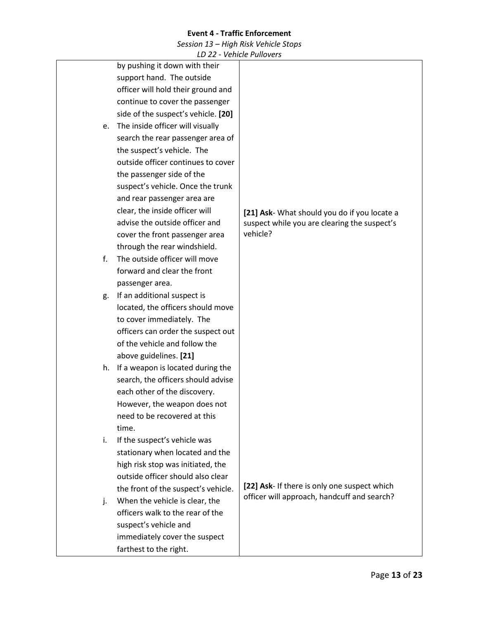*Session 13 – High Risk Vehicle Stops*

|    | LD 22 - Venicle Pullovers           |                                              |
|----|-------------------------------------|----------------------------------------------|
|    | by pushing it down with their       |                                              |
|    | support hand. The outside           |                                              |
|    | officer will hold their ground and  |                                              |
|    | continue to cover the passenger     |                                              |
|    | side of the suspect's vehicle. [20] |                                              |
| е. | The inside officer will visually    |                                              |
|    | search the rear passenger area of   |                                              |
|    | the suspect's vehicle. The          |                                              |
|    | outside officer continues to cover  |                                              |
|    | the passenger side of the           |                                              |
|    | suspect's vehicle. Once the trunk   |                                              |
|    | and rear passenger area are         |                                              |
|    | clear, the inside officer will      | [21] Ask- What should you do if you locate a |
|    | advise the outside officer and      | suspect while you are clearing the suspect's |
|    | cover the front passenger area      | vehicle?                                     |
|    | through the rear windshield.        |                                              |
| f. | The outside officer will move       |                                              |
|    | forward and clear the front         |                                              |
|    | passenger area.                     |                                              |
| g. | If an additional suspect is         |                                              |
|    | located, the officers should move   |                                              |
|    | to cover immediately. The           |                                              |
|    | officers can order the suspect out  |                                              |
|    | of the vehicle and follow the       |                                              |
|    | above guidelines. [21]              |                                              |
| h. | If a weapon is located during the   |                                              |
|    | search, the officers should advise  |                                              |
|    | each other of the discovery.        |                                              |
|    | However, the weapon does not        |                                              |
|    | need to be recovered at this        |                                              |
|    | time.                               |                                              |
| i. | If the suspect's vehicle was        |                                              |
|    | stationary when located and the     |                                              |
|    | high risk stop was initiated, the   |                                              |
|    | outside officer should also clear   |                                              |
|    | the front of the suspect's vehicle. | [22] Ask- If there is only one suspect which |
| j. | When the vehicle is clear, the      | officer will approach, handcuff and search?  |
|    | officers walk to the rear of the    |                                              |
|    | suspect's vehicle and               |                                              |
|    | immediately cover the suspect       |                                              |
|    | farthest to the right.              |                                              |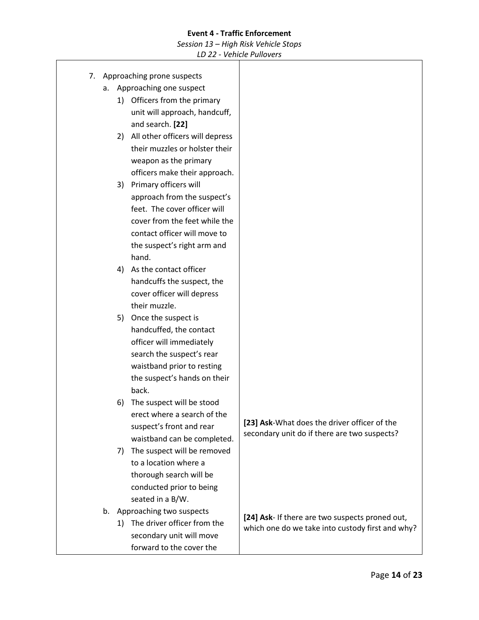*Session 13 – High Risk Vehicle Stops*

| 7. |    | Approaching prone suspects         |                                                  |
|----|----|------------------------------------|--------------------------------------------------|
|    | а. | Approaching one suspect            |                                                  |
|    |    | 1) Officers from the primary       |                                                  |
|    |    | unit will approach, handcuff,      |                                                  |
|    |    | and search. [22]                   |                                                  |
|    |    | 2) All other officers will depress |                                                  |
|    |    | their muzzles or holster their     |                                                  |
|    |    | weapon as the primary              |                                                  |
|    |    | officers make their approach.      |                                                  |
|    |    | 3) Primary officers will           |                                                  |
|    |    | approach from the suspect's        |                                                  |
|    |    | feet. The cover officer will       |                                                  |
|    |    | cover from the feet while the      |                                                  |
|    |    | contact officer will move to       |                                                  |
|    |    | the suspect's right arm and        |                                                  |
|    |    | hand.                              |                                                  |
|    |    | 4) As the contact officer          |                                                  |
|    |    | handcuffs the suspect, the         |                                                  |
|    |    | cover officer will depress         |                                                  |
|    |    | their muzzle.                      |                                                  |
|    | 5) | Once the suspect is                |                                                  |
|    |    | handcuffed, the contact            |                                                  |
|    |    | officer will immediately           |                                                  |
|    |    | search the suspect's rear          |                                                  |
|    |    | waistband prior to resting         |                                                  |
|    |    | the suspect's hands on their       |                                                  |
|    |    | back.                              |                                                  |
|    | 6) | The suspect will be stood          |                                                  |
|    |    | erect where a search of the        | [23] Ask-What does the driver officer of the     |
|    |    | suspect's front and rear           | secondary unit do if there are two suspects?     |
|    |    | waistband can be completed.        |                                                  |
|    |    | 7) The suspect will be removed     |                                                  |
|    |    | to a location where a              |                                                  |
|    |    | thorough search will be            |                                                  |
|    |    | conducted prior to being           |                                                  |
|    |    | seated in a B/W.                   |                                                  |
| b. |    | Approaching two suspects           | [24] Ask- If there are two suspects proned out,  |
|    |    | 1) The driver officer from the     | which one do we take into custody first and why? |
|    |    | secondary unit will move           |                                                  |
|    |    | forward to the cover the           |                                                  |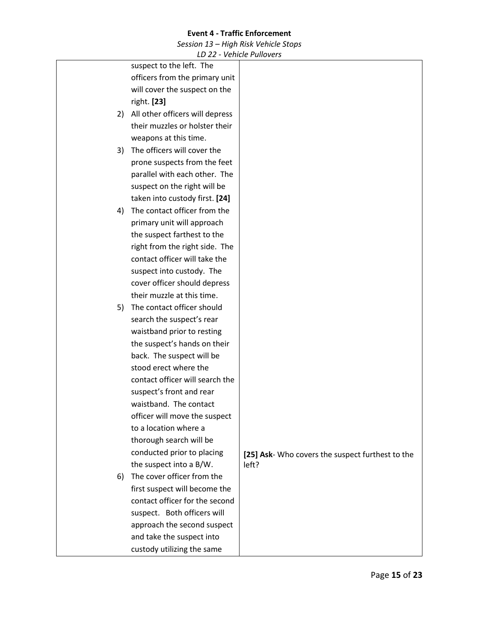*Session 13 – High Risk Vehicle Stops*

|    | LD ZZ - VEHICLE FUNDVEIS        |                                                  |
|----|---------------------------------|--------------------------------------------------|
|    | suspect to the left. The        |                                                  |
|    | officers from the primary unit  |                                                  |
|    | will cover the suspect on the   |                                                  |
|    | right. [23]                     |                                                  |
| 2) | All other officers will depress |                                                  |
|    | their muzzles or holster their  |                                                  |
|    | weapons at this time.           |                                                  |
| 3) | The officers will cover the     |                                                  |
|    | prone suspects from the feet    |                                                  |
|    | parallel with each other. The   |                                                  |
|    | suspect on the right will be    |                                                  |
|    | taken into custody first. [24]  |                                                  |
| 4) | The contact officer from the    |                                                  |
|    | primary unit will approach      |                                                  |
|    | the suspect farthest to the     |                                                  |
|    | right from the right side. The  |                                                  |
|    | contact officer will take the   |                                                  |
|    | suspect into custody. The       |                                                  |
|    | cover officer should depress    |                                                  |
|    | their muzzle at this time.      |                                                  |
| 5) | The contact officer should      |                                                  |
|    | search the suspect's rear       |                                                  |
|    | waistband prior to resting      |                                                  |
|    | the suspect's hands on their    |                                                  |
|    | back. The suspect will be       |                                                  |
|    | stood erect where the           |                                                  |
|    | contact officer will search the |                                                  |
|    | suspect's front and rear        |                                                  |
|    | waistband. The contact          |                                                  |
|    | officer will move the suspect   |                                                  |
|    | to a location where a           |                                                  |
|    | thorough search will be         |                                                  |
|    | conducted prior to placing      | [25] Ask- Who covers the suspect furthest to the |
|    | the suspect into a B/W.         | left?                                            |
| 6) | The cover officer from the      |                                                  |
|    | first suspect will become the   |                                                  |
|    | contact officer for the second  |                                                  |
|    | suspect. Both officers will     |                                                  |
|    | approach the second suspect     |                                                  |
|    | and take the suspect into       |                                                  |
|    | custody utilizing the same      |                                                  |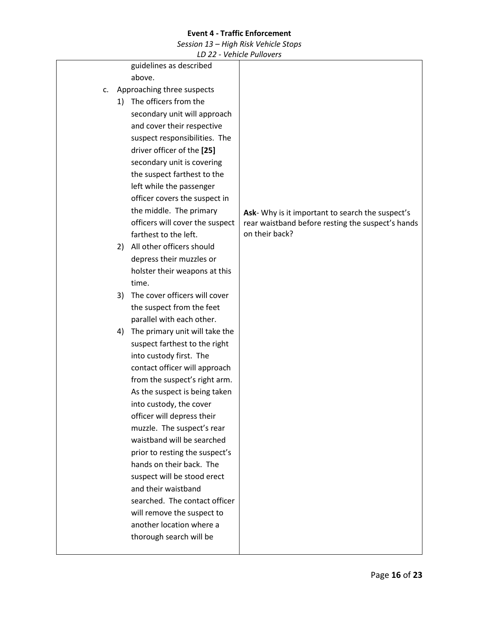*Session 13 – High Risk Vehicle Stops*

| LD 22 - VEIIILIE FUIIUVEIS           |                                                   |
|--------------------------------------|---------------------------------------------------|
| guidelines as described              |                                                   |
| above.                               |                                                   |
| Approaching three suspects<br>c.     |                                                   |
| 1) The officers from the             |                                                   |
| secondary unit will approach         |                                                   |
| and cover their respective           |                                                   |
| suspect responsibilities. The        |                                                   |
| driver officer of the [25]           |                                                   |
| secondary unit is covering           |                                                   |
| the suspect farthest to the          |                                                   |
| left while the passenger             |                                                   |
| officer covers the suspect in        |                                                   |
| the middle. The primary              | Ask-Why is it important to search the suspect's   |
| officers will cover the suspect      | rear waistband before resting the suspect's hands |
| farthest to the left.                | on their back?                                    |
| All other officers should<br>2)      |                                                   |
| depress their muzzles or             |                                                   |
| holster their weapons at this        |                                                   |
| time.                                |                                                   |
| The cover officers will cover<br>3)  |                                                   |
| the suspect from the feet            |                                                   |
| parallel with each other.            |                                                   |
| The primary unit will take the<br>4) |                                                   |
| suspect farthest to the right        |                                                   |
| into custody first. The              |                                                   |
| contact officer will approach        |                                                   |
| from the suspect's right arm.        |                                                   |
| As the suspect is being taken        |                                                   |
| into custody, the cover              |                                                   |
| officer will depress their           |                                                   |
| muzzle. The suspect's rear           |                                                   |
| waistband will be searched           |                                                   |
| prior to resting the suspect's       |                                                   |
| hands on their back. The             |                                                   |
| suspect will be stood erect          |                                                   |
| and their waistband                  |                                                   |
| searched. The contact officer        |                                                   |
| will remove the suspect to           |                                                   |
| another location where a             |                                                   |
| thorough search will be              |                                                   |
|                                      |                                                   |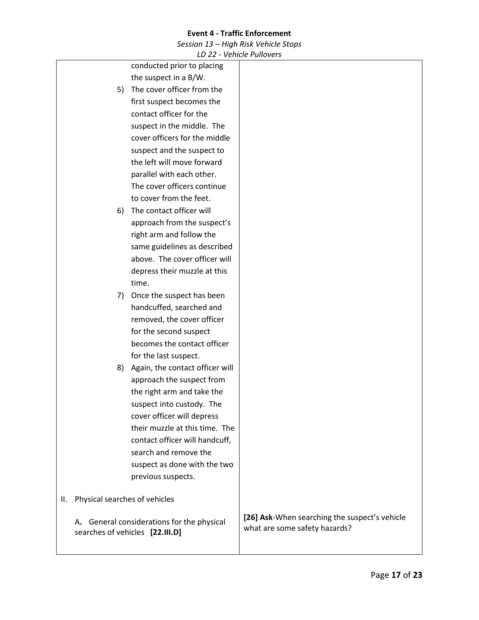*Session 13 – High Risk Vehicle Stops*

|    |                               | LD 22 - Venicie Pullovers                  |                                               |
|----|-------------------------------|--------------------------------------------|-----------------------------------------------|
|    |                               | conducted prior to placing                 |                                               |
|    |                               | the suspect in a B/W.                      |                                               |
|    | 5)                            | The cover officer from the                 |                                               |
|    |                               | first suspect becomes the                  |                                               |
|    |                               | contact officer for the                    |                                               |
|    |                               | suspect in the middle. The                 |                                               |
|    |                               | cover officers for the middle              |                                               |
|    |                               | suspect and the suspect to                 |                                               |
|    |                               | the left will move forward                 |                                               |
|    |                               | parallel with each other.                  |                                               |
|    |                               | The cover officers continue                |                                               |
|    |                               | to cover from the feet.                    |                                               |
|    | 6)                            | The contact officer will                   |                                               |
|    |                               | approach from the suspect's                |                                               |
|    |                               | right arm and follow the                   |                                               |
|    |                               | same guidelines as described               |                                               |
|    |                               | above. The cover officer will              |                                               |
|    |                               | depress their muzzle at this               |                                               |
|    |                               | time.                                      |                                               |
|    | 7)                            | Once the suspect has been                  |                                               |
|    |                               | handcuffed, searched and                   |                                               |
|    |                               | removed, the cover officer                 |                                               |
|    |                               | for the second suspect                     |                                               |
|    |                               | becomes the contact officer                |                                               |
|    |                               | for the last suspect.                      |                                               |
|    | 8)                            | Again, the contact officer will            |                                               |
|    |                               | approach the suspect from                  |                                               |
|    |                               | the right arm and take the                 |                                               |
|    |                               | suspect into custody. The                  |                                               |
|    |                               | cover officer will depress                 |                                               |
|    |                               | their muzzle at this time. The             |                                               |
|    |                               | contact officer will handcuff,             |                                               |
|    |                               | search and remove the                      |                                               |
|    |                               | suspect as done with the two               |                                               |
|    |                               | previous suspects.                         |                                               |
|    |                               |                                            |                                               |
| Ш. | Physical searches of vehicles |                                            |                                               |
|    |                               |                                            | [26] Ask-When searching the suspect's vehicle |
|    |                               | A. General considerations for the physical | what are some safety hazards?                 |
|    |                               | searches of vehicles [22.III.D]            |                                               |
|    |                               |                                            |                                               |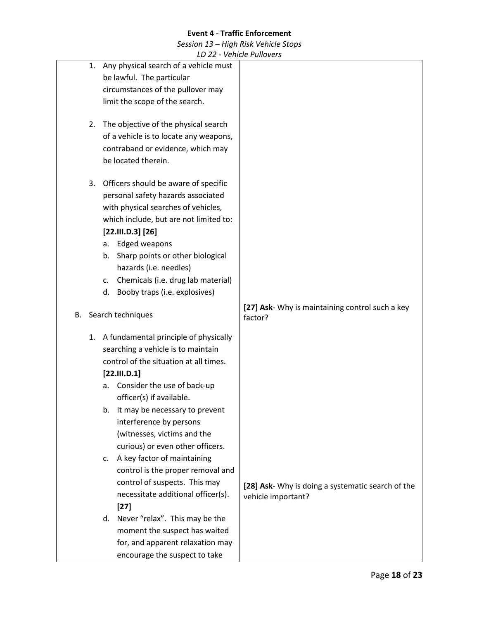*Session 13 – High Risk Vehicle Stops*

|    | LD 22 - Venicle Pullovers                |                                                   |
|----|------------------------------------------|---------------------------------------------------|
| 1. | Any physical search of a vehicle must    |                                                   |
|    | be lawful. The particular                |                                                   |
|    | circumstances of the pullover may        |                                                   |
|    | limit the scope of the search.           |                                                   |
|    |                                          |                                                   |
| 2. | The objective of the physical search     |                                                   |
|    | of a vehicle is to locate any weapons,   |                                                   |
|    | contraband or evidence, which may        |                                                   |
|    | be located therein.                      |                                                   |
|    |                                          |                                                   |
| 3. | Officers should be aware of specific     |                                                   |
|    | personal safety hazards associated       |                                                   |
|    | with physical searches of vehicles,      |                                                   |
|    | which include, but are not limited to:   |                                                   |
|    | [22.111.D.3] [26]                        |                                                   |
|    | <b>Edged weapons</b><br>a.               |                                                   |
|    | Sharp points or other biological<br>b.   |                                                   |
|    | hazards (i.e. needles)                   |                                                   |
|    | Chemicals (i.e. drug lab material)<br>c. |                                                   |
|    | Booby traps (i.e. explosives)<br>d.      |                                                   |
|    |                                          | [27] Ask- Why is maintaining control such a key   |
|    | B. Search techniques                     | factor?                                           |
|    |                                          |                                                   |
|    | 1. A fundamental principle of physically |                                                   |
|    | searching a vehicle is to maintain       |                                                   |
|    | control of the situation at all times.   |                                                   |
|    | [22.111.D.1]                             |                                                   |
|    | Consider the use of back-up<br>а.        |                                                   |
|    | officer(s) if available.                 |                                                   |
|    | It may be necessary to prevent<br>b.     |                                                   |
|    | interference by persons                  |                                                   |
|    | (witnesses, victims and the              |                                                   |
|    | curious) or even other officers.         |                                                   |
|    | A key factor of maintaining<br>c.        |                                                   |
|    | control is the proper removal and        |                                                   |
|    | control of suspects. This may            | [28] Ask- Why is doing a systematic search of the |
|    | necessitate additional officer(s).       | vehicle important?                                |
|    | $[27]$                                   |                                                   |
|    | d. Never "relax". This may be the        |                                                   |
|    | moment the suspect has waited            |                                                   |
|    | for, and apparent relaxation may         |                                                   |
|    | encourage the suspect to take            |                                                   |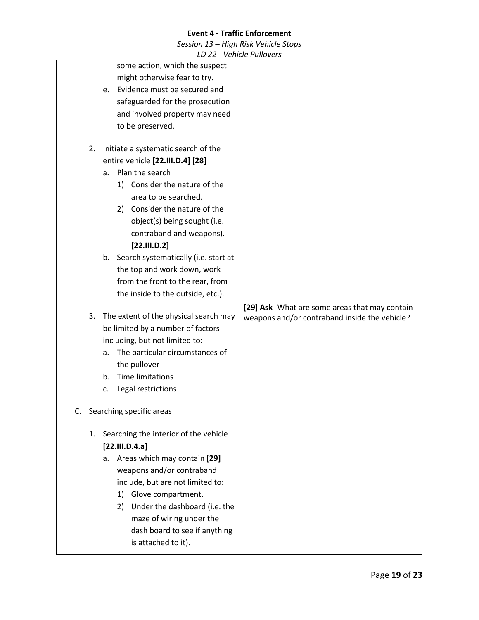*Session 13 – High Risk Vehicle Stops*

|  |    |                                            | VUIIIUL I UIIUVUJ                              |
|--|----|--------------------------------------------|------------------------------------------------|
|  |    | some action, which the suspect             |                                                |
|  |    | might otherwise fear to try.               |                                                |
|  |    | Evidence must be secured and<br>e.         |                                                |
|  |    | safeguarded for the prosecution            |                                                |
|  |    | and involved property may need             |                                                |
|  |    | to be preserved.                           |                                                |
|  | 2. | Initiate a systematic search of the        |                                                |
|  |    | entire vehicle [22.III.D.4] [28]           |                                                |
|  |    | Plan the search<br>a.                      |                                                |
|  |    | 1) Consider the nature of the              |                                                |
|  |    | area to be searched.                       |                                                |
|  |    | 2) Consider the nature of the              |                                                |
|  |    | object(s) being sought (i.e.               |                                                |
|  |    | contraband and weapons).                   |                                                |
|  |    | [22.111.D.2]                               |                                                |
|  |    | Search systematically (i.e. start at<br>b. |                                                |
|  |    | the top and work down, work                |                                                |
|  |    | from the front to the rear, from           |                                                |
|  |    | the inside to the outside, etc.).          |                                                |
|  |    |                                            | [29] Ask- What are some areas that may contain |
|  | 3. | The extent of the physical search may      | weapons and/or contraband inside the vehicle?  |
|  |    | be limited by a number of factors          |                                                |
|  |    | including, but not limited to:             |                                                |
|  |    | The particular circumstances of<br>a.      |                                                |
|  |    | the pullover                               |                                                |
|  |    | <b>Time limitations</b><br>b.              |                                                |
|  |    | Legal restrictions<br>c.                   |                                                |
|  |    | C. Searching specific areas                |                                                |
|  | 1. | Searching the interior of the vehicle      |                                                |
|  |    | [22.III.D.4.a]                             |                                                |
|  |    | Areas which may contain [29]<br>а.         |                                                |
|  |    | weapons and/or contraband                  |                                                |
|  |    | include, but are not limited to:           |                                                |
|  |    | Glove compartment.<br>1)                   |                                                |
|  |    | 2) Under the dashboard (i.e. the           |                                                |
|  |    | maze of wiring under the                   |                                                |
|  |    | dash board to see if anything              |                                                |
|  |    | is attached to it).                        |                                                |
|  |    |                                            |                                                |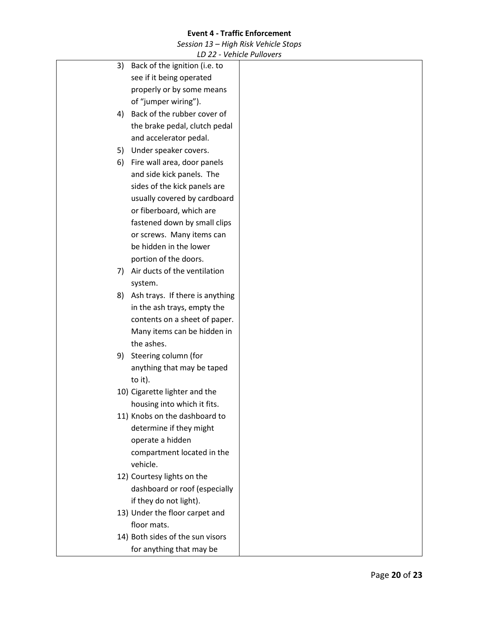*Session 13 – High Risk Vehicle Stops*

|    |                                  | VUIIIULI UIIUVUJ |
|----|----------------------------------|------------------|
| 3) | Back of the ignition (i.e. to    |                  |
|    | see if it being operated         |                  |
|    | properly or by some means        |                  |
|    | of "jumper wiring").             |                  |
| 4) | Back of the rubber cover of      |                  |
|    | the brake pedal, clutch pedal    |                  |
|    | and accelerator pedal.           |                  |
| 5) | Under speaker covers.            |                  |
| 6) | Fire wall area, door panels      |                  |
|    | and side kick panels. The        |                  |
|    | sides of the kick panels are     |                  |
|    | usually covered by cardboard     |                  |
|    | or fiberboard, which are         |                  |
|    | fastened down by small clips     |                  |
|    | or screws. Many items can        |                  |
|    | be hidden in the lower           |                  |
|    | portion of the doors.            |                  |
| 7) | Air ducts of the ventilation     |                  |
|    | system.                          |                  |
| 8) | Ash trays. If there is anything  |                  |
|    | in the ash trays, empty the      |                  |
|    | contents on a sheet of paper.    |                  |
|    | Many items can be hidden in      |                  |
|    | the ashes.                       |                  |
|    | 9) Steering column (for          |                  |
|    | anything that may be taped       |                  |
|    | to it).                          |                  |
|    | 10) Cigarette lighter and the    |                  |
|    | housing into which it fits.      |                  |
|    | 11) Knobs on the dashboard to    |                  |
|    | determine if they might          |                  |
|    | operate a hidden                 |                  |
|    | compartment located in the       |                  |
|    | vehicle.                         |                  |
|    | 12) Courtesy lights on the       |                  |
|    | dashboard or roof (especially    |                  |
|    | if they do not light).           |                  |
|    | 13) Under the floor carpet and   |                  |
|    | floor mats.                      |                  |
|    | 14) Both sides of the sun visors |                  |
|    | for anything that may be         |                  |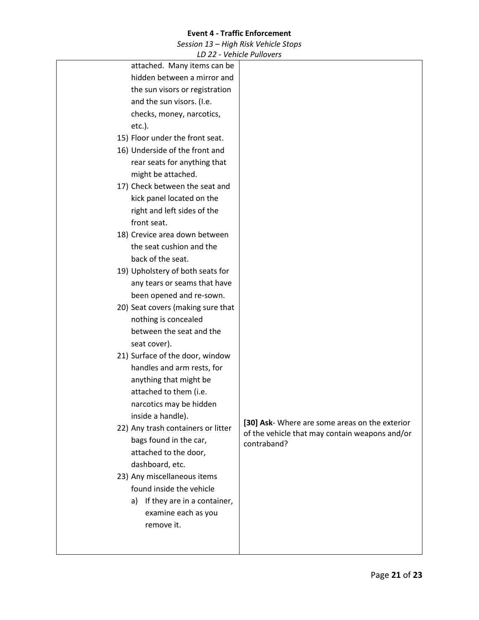*Session 13 – High Risk Vehicle Stops*

*LD 22 - Vehicle Pullovers*

| attached. Many items can be                             |                                                |
|---------------------------------------------------------|------------------------------------------------|
| hidden between a mirror and                             |                                                |
| the sun visors or registration                          |                                                |
| and the sun visors. (I.e.                               |                                                |
| checks, money, narcotics,                               |                                                |
| etc.).                                                  |                                                |
| 15) Floor under the front seat.                         |                                                |
| 16) Underside of the front and                          |                                                |
| rear seats for anything that                            |                                                |
| might be attached.                                      |                                                |
| 17) Check between the seat and                          |                                                |
| kick panel located on the                               |                                                |
| right and left sides of the                             |                                                |
| front seat.                                             |                                                |
| 18) Crevice area down between                           |                                                |
| the seat cushion and the                                |                                                |
| back of the seat.                                       |                                                |
| 19) Upholstery of both seats for                        |                                                |
| any tears or seams that have                            |                                                |
| been opened and re-sown.                                |                                                |
| 20) Seat covers (making sure that                       |                                                |
| nothing is concealed                                    |                                                |
| between the seat and the                                |                                                |
| seat cover).                                            |                                                |
| 21) Surface of the door, window                         |                                                |
| handles and arm rests, for                              |                                                |
| anything that might be                                  |                                                |
| attached to them (i.e.                                  |                                                |
| narcotics may be hidden                                 |                                                |
| inside a handle).                                       | [30] Ask- Where are some areas on the exterior |
| 22) Any trash containers or litter                      | of the vehicle that may contain weapons and/or |
| bags found in the car,                                  | contraband?                                    |
| attached to the door,                                   |                                                |
| dashboard, etc.                                         |                                                |
| 23) Any miscellaneous items<br>found inside the vehicle |                                                |
|                                                         |                                                |
| If they are in a container,<br>a)                       |                                                |
| examine each as you                                     |                                                |
| remove it.                                              |                                                |
|                                                         |                                                |
|                                                         |                                                |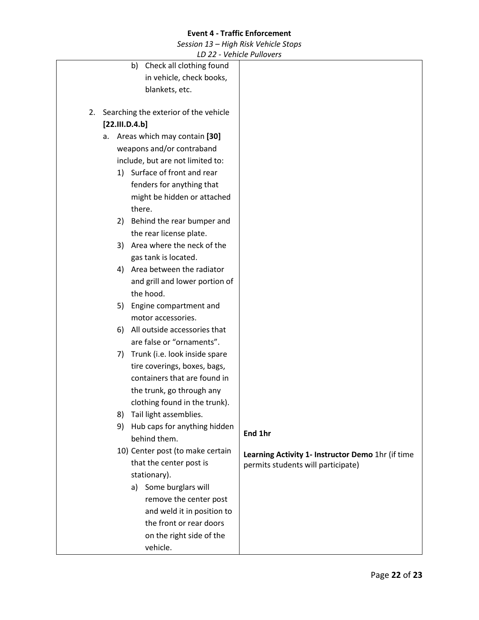*Session 13 – High Risk Vehicle Stops*

|                                                          | VUIILIUI UIIUVUJ                                  |
|----------------------------------------------------------|---------------------------------------------------|
| Check all clothing found<br>b)                           |                                                   |
| in vehicle, check books,                                 |                                                   |
| blankets, etc.                                           |                                                   |
| Searching the exterior of the vehicle<br>2.              |                                                   |
| [22.111.D.4.b]                                           |                                                   |
| a. Areas which may contain [30]                          |                                                   |
| weapons and/or contraband                                |                                                   |
| include, but are not limited to:                         |                                                   |
| 1) Surface of front and rear                             |                                                   |
|                                                          |                                                   |
| fenders for anything that                                |                                                   |
| might be hidden or attached<br>there.                    |                                                   |
|                                                          |                                                   |
| Behind the rear bumper and<br>2)                         |                                                   |
| the rear license plate.<br>3) Area where the neck of the |                                                   |
| gas tank is located.                                     |                                                   |
| Area between the radiator                                |                                                   |
| 4)                                                       |                                                   |
| and grill and lower portion of<br>the hood.              |                                                   |
|                                                          |                                                   |
| Engine compartment and<br>5)                             |                                                   |
| motor accessories.                                       |                                                   |
| All outside accessories that<br>6)                       |                                                   |
| are false or "ornaments".                                |                                                   |
| Trunk (i.e. look inside spare<br>7)                      |                                                   |
| tire coverings, boxes, bags,                             |                                                   |
| containers that are found in                             |                                                   |
| the trunk, go through any                                |                                                   |
| clothing found in the trunk).                            |                                                   |
| 8)<br>Tail light assemblies.                             |                                                   |
| Hub caps for anything hidden<br>9)                       | End 1hr                                           |
| behind them.                                             |                                                   |
| 10) Center post (to make certain                         | Learning Activity 1- Instructor Demo 1hr (if time |
| that the center post is                                  | permits students will participate)                |
| stationary).                                             |                                                   |
| a) Some burglars will                                    |                                                   |
| remove the center post                                   |                                                   |
| and weld it in position to                               |                                                   |
| the front or rear doors                                  |                                                   |
| on the right side of the                                 |                                                   |
| vehicle.                                                 |                                                   |